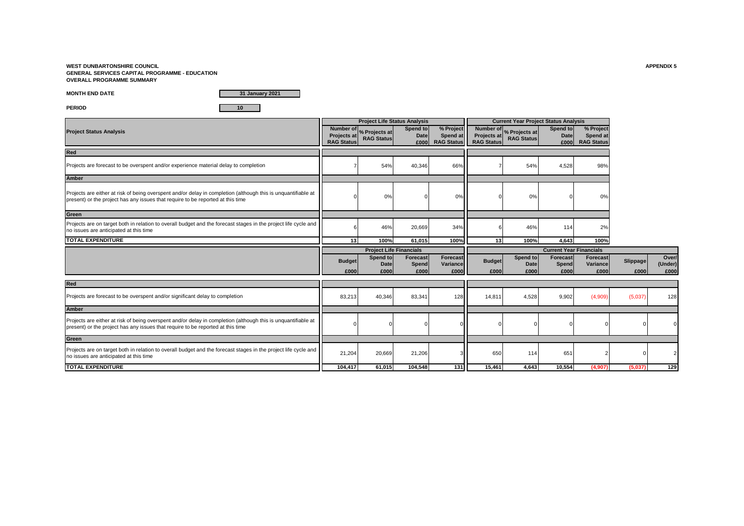**WEST DUNBARTONSHIRE COUNCIL APPENDIX 5 GENERAL SERVICES CAPITAL PROGRAMME - EDUCATION OVERALL PROGRAMME SUMMARY**

**MONTH END DATE**

**31 January 2021**

**PERIOD 10**

|                                                                                                                                                                                                  |                                         | <b>Project Life Status Analysis</b>          |                                 |                                            |                                         | <b>Current Year Project Status Analysis</b>             |                                |                                            |                  |                          |
|--------------------------------------------------------------------------------------------------------------------------------------------------------------------------------------------------|-----------------------------------------|----------------------------------------------|---------------------------------|--------------------------------------------|-----------------------------------------|---------------------------------------------------------|--------------------------------|--------------------------------------------|------------------|--------------------------|
| <b>Project Status Analysis</b>                                                                                                                                                                   | <b>Projects at</b><br><b>RAG Status</b> | Number of % Projects at<br><b>RAG Status</b> | Spend to<br><b>Date</b><br>£000 | % Project<br>Spend at<br><b>RAG Status</b> | <b>Projects at</b><br><b>RAG Status</b> | Number of <sub>%</sub> Projects at<br><b>RAG Status</b> | Spend to<br>Date<br>£000       | % Project<br>Spend at<br><b>RAG Status</b> |                  |                          |
| Red                                                                                                                                                                                              |                                         |                                              |                                 |                                            |                                         |                                                         |                                |                                            |                  |                          |
| Projects are forecast to be overspent and/or experience material delay to completion                                                                                                             |                                         | 54%                                          | 40,346                          | 66%                                        |                                         | 54%                                                     | 4,528                          | 98%                                        |                  |                          |
| <b>Amber</b>                                                                                                                                                                                     |                                         |                                              |                                 |                                            |                                         |                                                         |                                |                                            |                  |                          |
| Projects are either at risk of being overspent and/or delay in completion (although this is unquantifiable at<br>present) or the project has any issues that require to be reported at this time |                                         | 0%                                           |                                 | 0%                                         |                                         | 0%                                                      |                                | 0%                                         |                  |                          |
| Green                                                                                                                                                                                            |                                         |                                              |                                 |                                            |                                         |                                                         |                                |                                            |                  |                          |
| Projects are on target both in relation to overall budget and the forecast stages in the project life cycle and<br>no issues are anticipated at this time                                        |                                         | 46%                                          | 20,669                          | 34%                                        |                                         | 46%                                                     | 114                            | 2%                                         |                  |                          |
| <b>TOTAL EXPENDITURE</b>                                                                                                                                                                         | 13                                      | 100%                                         | 61.015                          | 100%                                       | 13                                      | 100%                                                    | 4.643                          | 100%                                       |                  |                          |
|                                                                                                                                                                                                  |                                         |                                              |                                 |                                            |                                         |                                                         |                                |                                            |                  |                          |
|                                                                                                                                                                                                  |                                         | <b>Project Life Financials</b>               |                                 |                                            |                                         |                                                         | <b>Current Year Financials</b> |                                            |                  |                          |
|                                                                                                                                                                                                  | <b>Budget</b><br>£000                   | Spend to<br><b>Date</b><br>£000              | Forecast<br>Spend<br>£000       | Forecast<br>Variance<br>£000               | <b>Budget</b><br>£000                   | Spend to<br><b>Date</b><br>£000                         | Forecast<br>Spend<br>£000      | <b>Forecast</b><br>Variance<br>£000        | Slippage<br>£000 | Over/<br>(Under)<br>£000 |
| Red                                                                                                                                                                                              |                                         |                                              |                                 |                                            |                                         |                                                         |                                |                                            |                  |                          |
| Projects are forecast to be overspent and/or significant delay to completion                                                                                                                     | 83,213                                  | 40,346                                       | 83,341                          | 128                                        | 14,811                                  | 4,528                                                   | 9,902                          | (4,909)                                    | (5,037)          | 128                      |
| <b>Amber</b>                                                                                                                                                                                     |                                         |                                              |                                 |                                            |                                         |                                                         |                                |                                            |                  |                          |
| Projects are either at risk of being overspent and/or delay in completion (although this is unquantifiable at<br>present) or the project has any issues that require to be reported at this time |                                         |                                              |                                 |                                            |                                         |                                                         |                                |                                            |                  |                          |
| Green                                                                                                                                                                                            |                                         |                                              |                                 |                                            |                                         |                                                         |                                |                                            |                  |                          |
| Projects are on target both in relation to overall budget and the forecast stages in the project life cycle and<br>no issues are anticipated at this time                                        | 21,204                                  | 20,669                                       | 21,206                          |                                            | 650                                     | 114                                                     | 651                            |                                            |                  |                          |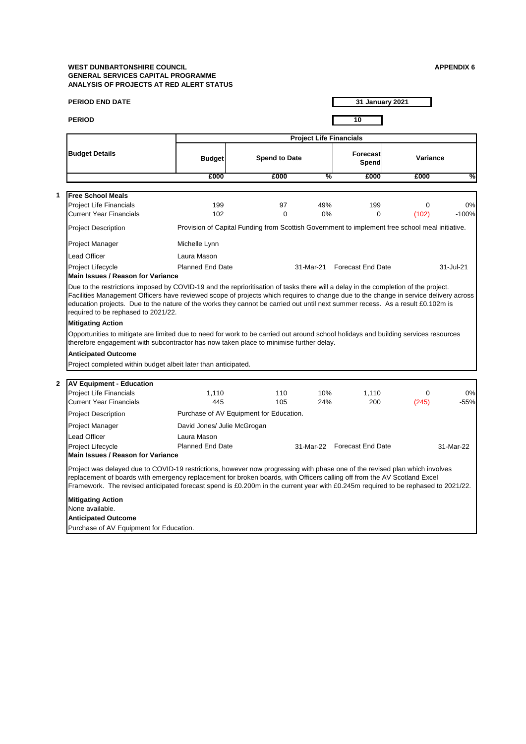| <b>Budget</b><br>£000<br>199<br>102<br>Provision of Capital Funding from Scottish Government to implement free school meal initiative.<br>Michelle Lynn<br>Laura Mason<br><b>Planned End Date</b><br>Main Issues / Reason for Variance<br>Due to the restrictions imposed by COVID-19 and the reprioritisation of tasks there will a delay in the completion of the project.<br>Facilities Management Officers have reviewed scope of projects which requires to change due to the change in service delivery across<br>education projects. Due to the nature of the works they cannot be carried out until next summer recess. As a result £0.102m is<br>required to be rephased to 2021/22.<br>Opportunities to mitigate are limited due to need for work to be carried out around school holidays and building services resources<br>therefore engagement with subcontractor has now taken place to minimise further delay. | <b>Spend to Date</b><br>£000<br>97<br>$\Omega$ | <b>Project Life Financials</b><br>%<br>49%<br>0% | 10<br><b>Forecast</b><br>Spend<br>£000<br>199<br>$\Omega$<br>31-Mar-21 Forecast End Date | Variance<br>£000<br>$\Omega$<br>(102)                                  | %<br>0%<br>$-100%$<br>31-Jul-21                                                                                                                                                                                                                                                                                                                                                              |
|--------------------------------------------------------------------------------------------------------------------------------------------------------------------------------------------------------------------------------------------------------------------------------------------------------------------------------------------------------------------------------------------------------------------------------------------------------------------------------------------------------------------------------------------------------------------------------------------------------------------------------------------------------------------------------------------------------------------------------------------------------------------------------------------------------------------------------------------------------------------------------------------------------------------------------|------------------------------------------------|--------------------------------------------------|------------------------------------------------------------------------------------------|------------------------------------------------------------------------|----------------------------------------------------------------------------------------------------------------------------------------------------------------------------------------------------------------------------------------------------------------------------------------------------------------------------------------------------------------------------------------------|
|                                                                                                                                                                                                                                                                                                                                                                                                                                                                                                                                                                                                                                                                                                                                                                                                                                                                                                                                |                                                |                                                  |                                                                                          |                                                                        |                                                                                                                                                                                                                                                                                                                                                                                              |
|                                                                                                                                                                                                                                                                                                                                                                                                                                                                                                                                                                                                                                                                                                                                                                                                                                                                                                                                |                                                |                                                  |                                                                                          |                                                                        |                                                                                                                                                                                                                                                                                                                                                                                              |
|                                                                                                                                                                                                                                                                                                                                                                                                                                                                                                                                                                                                                                                                                                                                                                                                                                                                                                                                |                                                |                                                  |                                                                                          |                                                                        |                                                                                                                                                                                                                                                                                                                                                                                              |
|                                                                                                                                                                                                                                                                                                                                                                                                                                                                                                                                                                                                                                                                                                                                                                                                                                                                                                                                |                                                |                                                  |                                                                                          |                                                                        |                                                                                                                                                                                                                                                                                                                                                                                              |
|                                                                                                                                                                                                                                                                                                                                                                                                                                                                                                                                                                                                                                                                                                                                                                                                                                                                                                                                |                                                |                                                  |                                                                                          |                                                                        |                                                                                                                                                                                                                                                                                                                                                                                              |
|                                                                                                                                                                                                                                                                                                                                                                                                                                                                                                                                                                                                                                                                                                                                                                                                                                                                                                                                |                                                |                                                  |                                                                                          |                                                                        |                                                                                                                                                                                                                                                                                                                                                                                              |
|                                                                                                                                                                                                                                                                                                                                                                                                                                                                                                                                                                                                                                                                                                                                                                                                                                                                                                                                |                                                |                                                  |                                                                                          |                                                                        |                                                                                                                                                                                                                                                                                                                                                                                              |
|                                                                                                                                                                                                                                                                                                                                                                                                                                                                                                                                                                                                                                                                                                                                                                                                                                                                                                                                |                                                |                                                  |                                                                                          |                                                                        |                                                                                                                                                                                                                                                                                                                                                                                              |
|                                                                                                                                                                                                                                                                                                                                                                                                                                                                                                                                                                                                                                                                                                                                                                                                                                                                                                                                |                                                |                                                  |                                                                                          |                                                                        |                                                                                                                                                                                                                                                                                                                                                                                              |
|                                                                                                                                                                                                                                                                                                                                                                                                                                                                                                                                                                                                                                                                                                                                                                                                                                                                                                                                |                                                |                                                  |                                                                                          |                                                                        |                                                                                                                                                                                                                                                                                                                                                                                              |
|                                                                                                                                                                                                                                                                                                                                                                                                                                                                                                                                                                                                                                                                                                                                                                                                                                                                                                                                |                                                |                                                  |                                                                                          |                                                                        |                                                                                                                                                                                                                                                                                                                                                                                              |
| Project completed within budget albeit later than anticipated.                                                                                                                                                                                                                                                                                                                                                                                                                                                                                                                                                                                                                                                                                                                                                                                                                                                                 |                                                |                                                  |                                                                                          |                                                                        |                                                                                                                                                                                                                                                                                                                                                                                              |
|                                                                                                                                                                                                                                                                                                                                                                                                                                                                                                                                                                                                                                                                                                                                                                                                                                                                                                                                |                                                |                                                  |                                                                                          |                                                                        |                                                                                                                                                                                                                                                                                                                                                                                              |
| 1,110<br>445                                                                                                                                                                                                                                                                                                                                                                                                                                                                                                                                                                                                                                                                                                                                                                                                                                                                                                                   | 110<br>105                                     | 10%<br>24%                                       | 1,110<br>200                                                                             | 0<br>(245)                                                             | 0%<br>$-55%$                                                                                                                                                                                                                                                                                                                                                                                 |
|                                                                                                                                                                                                                                                                                                                                                                                                                                                                                                                                                                                                                                                                                                                                                                                                                                                                                                                                |                                                |                                                  |                                                                                          |                                                                        |                                                                                                                                                                                                                                                                                                                                                                                              |
|                                                                                                                                                                                                                                                                                                                                                                                                                                                                                                                                                                                                                                                                                                                                                                                                                                                                                                                                |                                                |                                                  |                                                                                          |                                                                        |                                                                                                                                                                                                                                                                                                                                                                                              |
| Laura Mason<br><b>Planned End Date</b><br>Main Issues / Reason for Variance                                                                                                                                                                                                                                                                                                                                                                                                                                                                                                                                                                                                                                                                                                                                                                                                                                                    |                                                |                                                  |                                                                                          |                                                                        | 31-Mar-22                                                                                                                                                                                                                                                                                                                                                                                    |
|                                                                                                                                                                                                                                                                                                                                                                                                                                                                                                                                                                                                                                                                                                                                                                                                                                                                                                                                |                                                |                                                  |                                                                                          |                                                                        |                                                                                                                                                                                                                                                                                                                                                                                              |
|                                                                                                                                                                                                                                                                                                                                                                                                                                                                                                                                                                                                                                                                                                                                                                                                                                                                                                                                |                                                |                                                  |                                                                                          |                                                                        |                                                                                                                                                                                                                                                                                                                                                                                              |
|                                                                                                                                                                                                                                                                                                                                                                                                                                                                                                                                                                                                                                                                                                                                                                                                                                                                                                                                |                                                | David Jones/ Julie McGrogan                      | Purchase of AV Equipment for Education.                                                  | 31-Mar-22 Forecast End Date<br>Purchase of AV Equipment for Education. | Project was delayed due to COVID-19 restrictions, however now progressing with phase one of the revised plan which involves<br>replacement of boards with emergency replacement for broken boards, with Officers calling off from the AV Scotland Excel<br>Framework. The revised anticipated forecast spend is £0.200m in the current year with £0.245m required to be rephased to 2021/22. |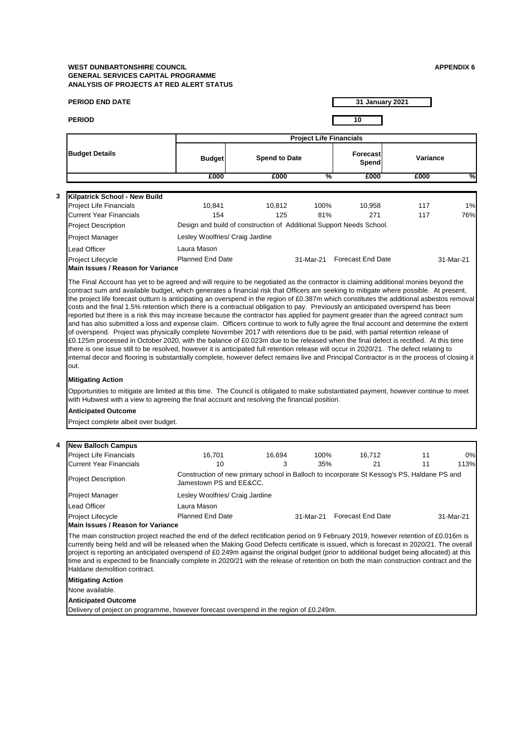**4**

|                                                                                                                                                                                                                                                                                                                                                                                                                                                                                                                                                                                                                                                                                                                                                                                                                                                                                                                                                                                                                                                                                                                                                                                                                                                                    |                                                                                                                                             |                                                   |           | 10                       |          |            |  |  |
|--------------------------------------------------------------------------------------------------------------------------------------------------------------------------------------------------------------------------------------------------------------------------------------------------------------------------------------------------------------------------------------------------------------------------------------------------------------------------------------------------------------------------------------------------------------------------------------------------------------------------------------------------------------------------------------------------------------------------------------------------------------------------------------------------------------------------------------------------------------------------------------------------------------------------------------------------------------------------------------------------------------------------------------------------------------------------------------------------------------------------------------------------------------------------------------------------------------------------------------------------------------------|---------------------------------------------------------------------------------------------------------------------------------------------|---------------------------------------------------|-----------|--------------------------|----------|------------|--|--|
|                                                                                                                                                                                                                                                                                                                                                                                                                                                                                                                                                                                                                                                                                                                                                                                                                                                                                                                                                                                                                                                                                                                                                                                                                                                                    |                                                                                                                                             |                                                   |           |                          |          |            |  |  |
| <b>Budget Details</b>                                                                                                                                                                                                                                                                                                                                                                                                                                                                                                                                                                                                                                                                                                                                                                                                                                                                                                                                                                                                                                                                                                                                                                                                                                              |                                                                                                                                             | <b>Project Life Financials</b><br><b>Forecast</b> |           |                          |          |            |  |  |
|                                                                                                                                                                                                                                                                                                                                                                                                                                                                                                                                                                                                                                                                                                                                                                                                                                                                                                                                                                                                                                                                                                                                                                                                                                                                    | <b>Budget</b>                                                                                                                               | <b>Spend to Date</b>                              |           | Spend                    | Variance |            |  |  |
|                                                                                                                                                                                                                                                                                                                                                                                                                                                                                                                                                                                                                                                                                                                                                                                                                                                                                                                                                                                                                                                                                                                                                                                                                                                                    | £000                                                                                                                                        | £000                                              | %         | £000                     | £000     |            |  |  |
| Kilpatrick School - New Build                                                                                                                                                                                                                                                                                                                                                                                                                                                                                                                                                                                                                                                                                                                                                                                                                                                                                                                                                                                                                                                                                                                                                                                                                                      |                                                                                                                                             |                                                   |           |                          |          |            |  |  |
| <b>Project Life Financials</b>                                                                                                                                                                                                                                                                                                                                                                                                                                                                                                                                                                                                                                                                                                                                                                                                                                                                                                                                                                                                                                                                                                                                                                                                                                     | 10.841                                                                                                                                      | 10,812                                            | 100%      | 10,958                   | 117      | 1%         |  |  |
| <b>Current Year Financials</b>                                                                                                                                                                                                                                                                                                                                                                                                                                                                                                                                                                                                                                                                                                                                                                                                                                                                                                                                                                                                                                                                                                                                                                                                                                     | 154                                                                                                                                         | 125                                               | 81%       | 271                      | 117      | 76%        |  |  |
| <b>Project Description</b>                                                                                                                                                                                                                                                                                                                                                                                                                                                                                                                                                                                                                                                                                                                                                                                                                                                                                                                                                                                                                                                                                                                                                                                                                                         | Design and build of construction of Additional Support Needs School.                                                                        |                                                   |           |                          |          |            |  |  |
| Project Manager                                                                                                                                                                                                                                                                                                                                                                                                                                                                                                                                                                                                                                                                                                                                                                                                                                                                                                                                                                                                                                                                                                                                                                                                                                                    | Lesley Woolfries/ Craig Jardine                                                                                                             |                                                   |           |                          |          |            |  |  |
| Lead Officer                                                                                                                                                                                                                                                                                                                                                                                                                                                                                                                                                                                                                                                                                                                                                                                                                                                                                                                                                                                                                                                                                                                                                                                                                                                       | Laura Mason                                                                                                                                 |                                                   |           |                          |          |            |  |  |
| Project Lifecycle                                                                                                                                                                                                                                                                                                                                                                                                                                                                                                                                                                                                                                                                                                                                                                                                                                                                                                                                                                                                                                                                                                                                                                                                                                                  | <b>Planned End Date</b>                                                                                                                     |                                                   | 31-Mar-21 | <b>Forecast End Date</b> |          | 31-Mar-21  |  |  |
| Main Issues / Reason for Variance                                                                                                                                                                                                                                                                                                                                                                                                                                                                                                                                                                                                                                                                                                                                                                                                                                                                                                                                                                                                                                                                                                                                                                                                                                  |                                                                                                                                             |                                                   |           |                          |          |            |  |  |
| of overspend. Project was physically complete November 2017 with retentions due to be paid, with partial retention release of<br>£0.125m processed in October 2020, with the balance of £0.023m due to be released when the final defect is rectified. At this time<br>there is one issue still to be resolved, however it is anticipated full retention release will occur in 2020/21. The defect relating to                                                                                                                                                                                                                                                                                                                                                                                                                                                                                                                                                                                                                                                                                                                                                                                                                                                     |                                                                                                                                             |                                                   |           |                          |          |            |  |  |
|                                                                                                                                                                                                                                                                                                                                                                                                                                                                                                                                                                                                                                                                                                                                                                                                                                                                                                                                                                                                                                                                                                                                                                                                                                                                    | internal decor and flooring is substantially complete, however defect remains live and Principal Contractor is in the process of closing it |                                                   |           |                          |          |            |  |  |
|                                                                                                                                                                                                                                                                                                                                                                                                                                                                                                                                                                                                                                                                                                                                                                                                                                                                                                                                                                                                                                                                                                                                                                                                                                                                    |                                                                                                                                             |                                                   |           |                          |          |            |  |  |
|                                                                                                                                                                                                                                                                                                                                                                                                                                                                                                                                                                                                                                                                                                                                                                                                                                                                                                                                                                                                                                                                                                                                                                                                                                                                    |                                                                                                                                             |                                                   |           |                          |          |            |  |  |
|                                                                                                                                                                                                                                                                                                                                                                                                                                                                                                                                                                                                                                                                                                                                                                                                                                                                                                                                                                                                                                                                                                                                                                                                                                                                    |                                                                                                                                             |                                                   |           |                          |          |            |  |  |
|                                                                                                                                                                                                                                                                                                                                                                                                                                                                                                                                                                                                                                                                                                                                                                                                                                                                                                                                                                                                                                                                                                                                                                                                                                                                    | 16,701                                                                                                                                      | 16,694                                            | 100%      | 16,712                   | 11       |            |  |  |
|                                                                                                                                                                                                                                                                                                                                                                                                                                                                                                                                                                                                                                                                                                                                                                                                                                                                                                                                                                                                                                                                                                                                                                                                                                                                    | 10                                                                                                                                          | 3                                                 | 35%       | 21                       | 11       | 0%<br>113% |  |  |
|                                                                                                                                                                                                                                                                                                                                                                                                                                                                                                                                                                                                                                                                                                                                                                                                                                                                                                                                                                                                                                                                                                                                                                                                                                                                    | Construction of new primary school in Balloch to incorporate St Kessog's PS, Haldane PS and<br>Jamestown PS and EE&CC.                      |                                                   |           |                          |          |            |  |  |
|                                                                                                                                                                                                                                                                                                                                                                                                                                                                                                                                                                                                                                                                                                                                                                                                                                                                                                                                                                                                                                                                                                                                                                                                                                                                    | Lesley Woolfries/ Craig Jardine                                                                                                             |                                                   |           |                          |          |            |  |  |
|                                                                                                                                                                                                                                                                                                                                                                                                                                                                                                                                                                                                                                                                                                                                                                                                                                                                                                                                                                                                                                                                                                                                                                                                                                                                    | Laura Mason                                                                                                                                 |                                                   |           |                          |          |            |  |  |
|                                                                                                                                                                                                                                                                                                                                                                                                                                                                                                                                                                                                                                                                                                                                                                                                                                                                                                                                                                                                                                                                                                                                                                                                                                                                    | <b>Planned End Date</b>                                                                                                                     |                                                   | 31-Mar-21 | <b>Forecast End Date</b> |          |            |  |  |
|                                                                                                                                                                                                                                                                                                                                                                                                                                                                                                                                                                                                                                                                                                                                                                                                                                                                                                                                                                                                                                                                                                                                                                                                                                                                    |                                                                                                                                             |                                                   |           |                          |          |            |  |  |
|                                                                                                                                                                                                                                                                                                                                                                                                                                                                                                                                                                                                                                                                                                                                                                                                                                                                                                                                                                                                                                                                                                                                                                                                                                                                    |                                                                                                                                             |                                                   |           |                          |          | 31-Mar-21  |  |  |
|                                                                                                                                                                                                                                                                                                                                                                                                                                                                                                                                                                                                                                                                                                                                                                                                                                                                                                                                                                                                                                                                                                                                                                                                                                                                    |                                                                                                                                             |                                                   |           |                          |          |            |  |  |
| out.<br><b>Mitigating Action</b><br>Opportunities to mitigate are limited at this time. The Council is obligated to make substantiated payment, however continue to meet<br>with Hubwest with a view to agreeing the final account and resolving the financial position.<br><b>Anticipated Outcome</b><br>Project complete albeit over budget.<br><b>New Balloch Campus</b><br><b>Project Life Financials</b><br><b>Current Year Financials</b><br><b>Project Description</b><br>Project Manager<br>Lead Officer<br>Project Lifecycle<br>Main Issues / Reason for Variance<br>The main construction project reached the end of the defect rectification period on 9 February 2019, however retention of £0.016m is<br>currently being held and will be released when the Making Good Defects certificate is issued, which is forecast in 2020/21. The overall<br>project is reporting an anticipated overspend of £0.249m against the original budget (prior to additional budget being allocated) at this<br>time and is expected to be financially complete in 2020/21 with the release of retention on both the main construction contract and the<br>Haldane demolition contract.<br><b>Mitigating Action</b><br>None available.<br><b>Anticipated Outcome</b> |                                                                                                                                             |                                                   |           |                          |          |            |  |  |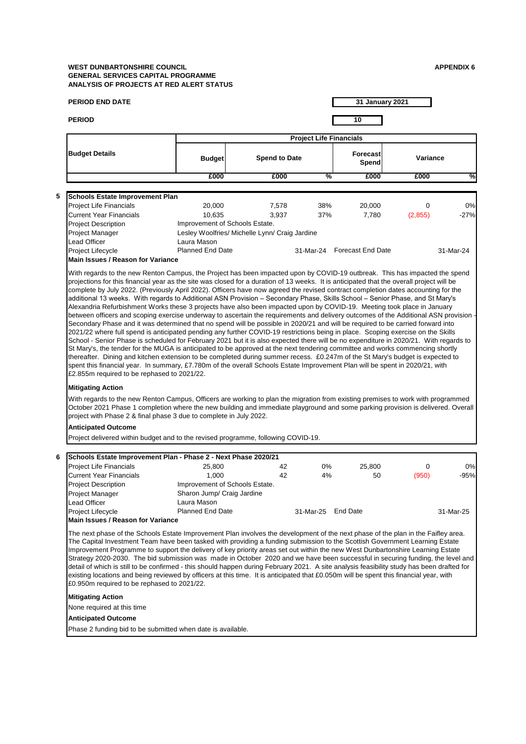| <b>PERIOD END DATE</b>                                                                                                                                                                                                                                                                                                                                                                                                                                                                                                                                                                                                                                                                                                                                                                                                                                                   |                                |                                                |                                | 31 January 2021             |          |           |
|--------------------------------------------------------------------------------------------------------------------------------------------------------------------------------------------------------------------------------------------------------------------------------------------------------------------------------------------------------------------------------------------------------------------------------------------------------------------------------------------------------------------------------------------------------------------------------------------------------------------------------------------------------------------------------------------------------------------------------------------------------------------------------------------------------------------------------------------------------------------------|--------------------------------|------------------------------------------------|--------------------------------|-----------------------------|----------|-----------|
| <b>PERIOD</b>                                                                                                                                                                                                                                                                                                                                                                                                                                                                                                                                                                                                                                                                                                                                                                                                                                                            |                                |                                                |                                | 10                          |          |           |
|                                                                                                                                                                                                                                                                                                                                                                                                                                                                                                                                                                                                                                                                                                                                                                                                                                                                          |                                |                                                | <b>Project Life Financials</b> |                             |          |           |
| <b>Budget Details</b>                                                                                                                                                                                                                                                                                                                                                                                                                                                                                                                                                                                                                                                                                                                                                                                                                                                    | <b>Budget</b>                  | <b>Spend to Date</b>                           |                                | <b>Forecast</b><br>Spend    | Variance |           |
|                                                                                                                                                                                                                                                                                                                                                                                                                                                                                                                                                                                                                                                                                                                                                                                                                                                                          | £000                           | £000                                           | %                              | £000                        | £000     | %         |
|                                                                                                                                                                                                                                                                                                                                                                                                                                                                                                                                                                                                                                                                                                                                                                                                                                                                          |                                |                                                |                                |                             |          |           |
| Schools Estate Improvement Plan<br><b>Project Life Financials</b>                                                                                                                                                                                                                                                                                                                                                                                                                                                                                                                                                                                                                                                                                                                                                                                                        | 20,000                         | 7,578                                          | 38%                            | 20,000                      | 0        | 0%        |
| <b>Current Year Financials</b>                                                                                                                                                                                                                                                                                                                                                                                                                                                                                                                                                                                                                                                                                                                                                                                                                                           | 10.635                         | 3,937                                          | 37%                            | 7,780                       | (2,855)  | $-27%$    |
| <b>Project Description</b>                                                                                                                                                                                                                                                                                                                                                                                                                                                                                                                                                                                                                                                                                                                                                                                                                                               | Improvement of Schools Estate. |                                                |                                |                             |          |           |
| Project Manager                                                                                                                                                                                                                                                                                                                                                                                                                                                                                                                                                                                                                                                                                                                                                                                                                                                          |                                | Lesley Woolfries/ Michelle Lynn/ Craig Jardine |                                |                             |          |           |
| Lead Officer                                                                                                                                                                                                                                                                                                                                                                                                                                                                                                                                                                                                                                                                                                                                                                                                                                                             | Laura Mason                    |                                                |                                |                             |          |           |
| Project Lifecycle                                                                                                                                                                                                                                                                                                                                                                                                                                                                                                                                                                                                                                                                                                                                                                                                                                                        | <b>Planned End Date</b>        |                                                |                                | 31-Mar-24 Forecast End Date |          | 31-Mar-24 |
| <b>Main Issues / Reason for Variance</b>                                                                                                                                                                                                                                                                                                                                                                                                                                                                                                                                                                                                                                                                                                                                                                                                                                 |                                |                                                |                                |                             |          |           |
| 2021/22 where full spend is anticipated pending any further COVID-19 restrictions being in place. Scoping exercise on the Skills<br>School - Senior Phase is scheduled for February 2021 but it is also expected there will be no expenditure in 2020/21. With regards to                                                                                                                                                                                                                                                                                                                                                                                                                                                                                                                                                                                                |                                |                                                |                                |                             |          |           |
| St Mary's, the tender for the MUGA is anticipated to be approved at the next tendering committee and works commencing shortly<br>thereafter. Dining and kitchen extension to be completed during summer recess. £0.247m of the St Mary's budget is expected to<br>spent this financial year. In summary, £7.780m of the overall Schools Estate Improvement Plan will be spent in 2020/21, with<br>£2.855m required to be rephased to 2021/22.<br><b>Mitigating Action</b><br>With regards to the new Renton Campus, Officers are working to plan the migration from existing premises to work with programmed<br>October 2021 Phase 1 completion where the new building and immediate playground and some parking provision is delivered. Overall<br>project with Phase 2 & final phase 3 due to complete in July 2022.                                                  |                                |                                                |                                |                             |          |           |
| <b>Anticipated Outcome</b>                                                                                                                                                                                                                                                                                                                                                                                                                                                                                                                                                                                                                                                                                                                                                                                                                                               |                                |                                                |                                |                             |          |           |
| Project delivered within budget and to the revised programme, following COVID-19.                                                                                                                                                                                                                                                                                                                                                                                                                                                                                                                                                                                                                                                                                                                                                                                        |                                |                                                |                                |                             |          |           |
|                                                                                                                                                                                                                                                                                                                                                                                                                                                                                                                                                                                                                                                                                                                                                                                                                                                                          |                                |                                                |                                |                             |          |           |
| Schools Estate Improvement Plan - Phase 2 - Next Phase 2020/21<br><b>Project Life Financials</b>                                                                                                                                                                                                                                                                                                                                                                                                                                                                                                                                                                                                                                                                                                                                                                         |                                | 42                                             | 0%                             |                             | 0        | 0%        |
| <b>Current Year Financials</b>                                                                                                                                                                                                                                                                                                                                                                                                                                                                                                                                                                                                                                                                                                                                                                                                                                           | 25,800<br>1,000                | 42                                             | 4%                             | 25,800<br>50                | (950)    | $-95%$    |
| <b>Project Description</b>                                                                                                                                                                                                                                                                                                                                                                                                                                                                                                                                                                                                                                                                                                                                                                                                                                               | Improvement of Schools Estate. |                                                |                                |                             |          |           |
| Project Manager                                                                                                                                                                                                                                                                                                                                                                                                                                                                                                                                                                                                                                                                                                                                                                                                                                                          | Sharon Jump/ Craig Jardine     |                                                |                                |                             |          |           |
| Lead Officer                                                                                                                                                                                                                                                                                                                                                                                                                                                                                                                                                                                                                                                                                                                                                                                                                                                             | Laura Mason                    |                                                |                                |                             |          |           |
| Project Lifecycle                                                                                                                                                                                                                                                                                                                                                                                                                                                                                                                                                                                                                                                                                                                                                                                                                                                        | <b>Planned End Date</b>        |                                                | 31-Mar-25 End Date             |                             |          | 31-Mar-25 |
| <b>Main Issues / Reason for Variance</b><br>The next phase of the Schools Estate Improvement Plan involves the development of the next phase of the plan in the Faifley area.<br>The Capital Investment Team have been tasked with providing a funding submission to the Scottish Government Learning Estate<br>Improvement Programme to support the delivery of key priority areas set out within the new West Dunbartonshire Learning Estate<br>Strategy 2020-2030. The bid submission was made in October 2020 and we have been successful in securing funding, the level and<br>detail of which is still to be confirmed - this should happen during February 2021. A site analysis feasibility study has been drafted for<br>existing locations and being reviewed by officers at this time. It is anticipated that £0.050m will be spent this financial year, with |                                |                                                |                                |                             |          |           |
| £0.950m required to be rephased to 2021/22.                                                                                                                                                                                                                                                                                                                                                                                                                                                                                                                                                                                                                                                                                                                                                                                                                              |                                |                                                |                                |                             |          |           |
| <b>Mitigating Action</b>                                                                                                                                                                                                                                                                                                                                                                                                                                                                                                                                                                                                                                                                                                                                                                                                                                                 |                                |                                                |                                |                             |          |           |
| None required at this time                                                                                                                                                                                                                                                                                                                                                                                                                                                                                                                                                                                                                                                                                                                                                                                                                                               |                                |                                                |                                |                             |          |           |
| <b>Anticipated Outcome</b><br>Phase 2 funding bid to be submitted when date is available.                                                                                                                                                                                                                                                                                                                                                                                                                                                                                                                                                                                                                                                                                                                                                                                |                                |                                                |                                |                             |          |           |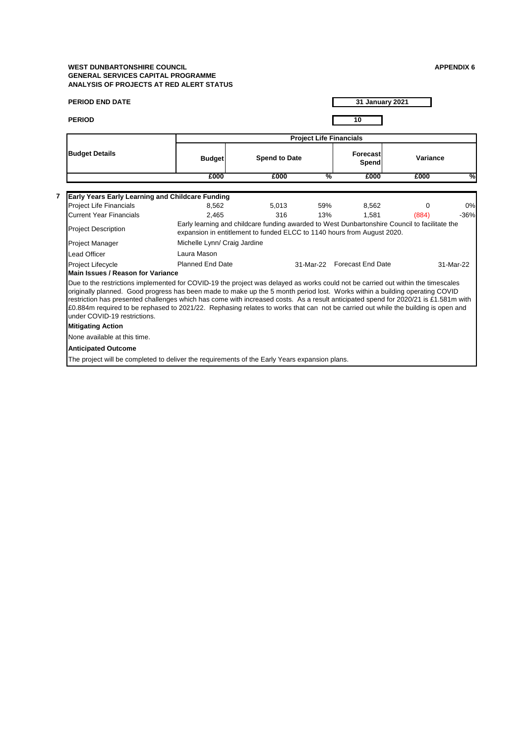| <b>PERIOD END DATE</b>                                                                                                                                                                                                                                                                                                                                                                                                                                                                                                                                                      |                                                                                                                                                                          |       |                                | <b>31 January 2021</b>      |          |           |
|-----------------------------------------------------------------------------------------------------------------------------------------------------------------------------------------------------------------------------------------------------------------------------------------------------------------------------------------------------------------------------------------------------------------------------------------------------------------------------------------------------------------------------------------------------------------------------|--------------------------------------------------------------------------------------------------------------------------------------------------------------------------|-------|--------------------------------|-----------------------------|----------|-----------|
| <b>PERIOD</b>                                                                                                                                                                                                                                                                                                                                                                                                                                                                                                                                                               |                                                                                                                                                                          |       |                                | 10                          |          |           |
|                                                                                                                                                                                                                                                                                                                                                                                                                                                                                                                                                                             |                                                                                                                                                                          |       | <b>Project Life Financials</b> |                             |          |           |
| <b>Budget Details</b>                                                                                                                                                                                                                                                                                                                                                                                                                                                                                                                                                       | <b>Budget</b>                                                                                                                                                            |       | <b>Spend to Date</b>           |                             | Variance |           |
|                                                                                                                                                                                                                                                                                                                                                                                                                                                                                                                                                                             | £000                                                                                                                                                                     | £000  | %                              | £000                        | £000     | %         |
|                                                                                                                                                                                                                                                                                                                                                                                                                                                                                                                                                                             |                                                                                                                                                                          |       |                                |                             |          |           |
| Early Years Early Learning and Childcare Funding                                                                                                                                                                                                                                                                                                                                                                                                                                                                                                                            |                                                                                                                                                                          |       |                                |                             |          |           |
| <b>Project Life Financials</b>                                                                                                                                                                                                                                                                                                                                                                                                                                                                                                                                              | 8.562                                                                                                                                                                    | 5.013 | 59%                            | 8,562                       | $\Omega$ | 0%        |
| <b>Current Year Financials</b>                                                                                                                                                                                                                                                                                                                                                                                                                                                                                                                                              | 2.465                                                                                                                                                                    | 316   | 13%                            | 1,581                       | (884)    | $-36%$    |
| <b>Project Description</b>                                                                                                                                                                                                                                                                                                                                                                                                                                                                                                                                                  | Early learning and childcare funding awarded to West Dunbartonshire Council to facilitate the<br>expansion in entitlement to funded ELCC to 1140 hours from August 2020. |       |                                |                             |          |           |
| <b>Project Manager</b>                                                                                                                                                                                                                                                                                                                                                                                                                                                                                                                                                      | Michelle Lynn/ Craig Jardine                                                                                                                                             |       |                                |                             |          |           |
| Lead Officer                                                                                                                                                                                                                                                                                                                                                                                                                                                                                                                                                                | Laura Mason                                                                                                                                                              |       |                                |                             |          |           |
| Project Lifecycle                                                                                                                                                                                                                                                                                                                                                                                                                                                                                                                                                           | <b>Planned End Date</b>                                                                                                                                                  |       |                                | 31-Mar-22 Forecast End Date |          | 31-Mar-22 |
| Main Issues / Reason for Variance                                                                                                                                                                                                                                                                                                                                                                                                                                                                                                                                           |                                                                                                                                                                          |       |                                |                             |          |           |
| Due to the restrictions implemented for COVID-19 the project was delayed as works could not be carried out within the timescales<br>originally planned. Good progress has been made to make up the 5 month period lost. Works within a building operating COVID<br>restriction has presented challenges which has come with increased costs. As a result anticipated spend for 2020/21 is £1.581m with<br>£0.884m required to be rephased to 2021/22. Rephasing relates to works that can not be carried out while the building is open and<br>under COVID-19 restrictions. |                                                                                                                                                                          |       |                                |                             |          |           |
| <b>Mitigating Action</b>                                                                                                                                                                                                                                                                                                                                                                                                                                                                                                                                                    |                                                                                                                                                                          |       |                                |                             |          |           |
| None available at this time.                                                                                                                                                                                                                                                                                                                                                                                                                                                                                                                                                |                                                                                                                                                                          |       |                                |                             |          |           |
| <b>Anticipated Outcome</b>                                                                                                                                                                                                                                                                                                                                                                                                                                                                                                                                                  |                                                                                                                                                                          |       |                                |                             |          |           |
| The project will be completed to deliver the requirements of the Early Years expansion plans.                                                                                                                                                                                                                                                                                                                                                                                                                                                                               |                                                                                                                                                                          |       |                                |                             |          |           |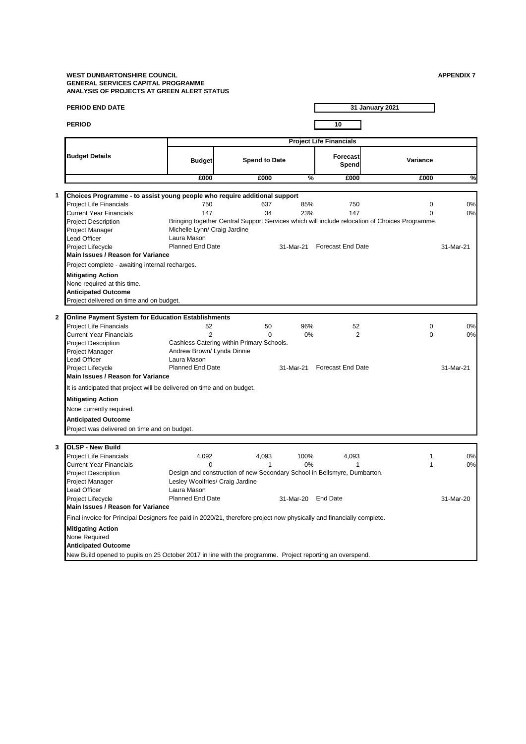| <b>PERIOD END DATE</b>                                                    |                              |                                                                                                |           | 31 January 2021                |          |           |
|---------------------------------------------------------------------------|------------------------------|------------------------------------------------------------------------------------------------|-----------|--------------------------------|----------|-----------|
| <b>PERIOD</b>                                                             |                              |                                                                                                |           | 10                             |          |           |
|                                                                           |                              |                                                                                                |           | <b>Project Life Financials</b> |          |           |
| <b>Budget Details</b>                                                     | <b>Budget</b>                | <b>Spend to Date</b>                                                                           |           | Forecast<br>Spend              | Variance |           |
|                                                                           | £000                         | £000                                                                                           | %         | £000                           | £000     | %         |
| Choices Programme - to assist young people who require additional support |                              |                                                                                                |           |                                |          |           |
| Project Life Financials                                                   | 750                          | 637                                                                                            | 85%       | 750                            | 0        | 0%        |
| <b>Current Year Financials</b>                                            | 147                          | 34                                                                                             | 23%       | 147                            | 0        | 0%        |
| <b>Project Description</b>                                                |                              | Bringing together Central Support Services which will include relocation of Choices Programme. |           |                                |          |           |
| Project Manager                                                           | Michelle Lynn/ Craig Jardine |                                                                                                |           |                                |          |           |
| Lead Officer                                                              | Laura Mason                  |                                                                                                |           |                                |          |           |
| Project Lifecycle                                                         | <b>Planned End Date</b>      |                                                                                                | 31-Mar-21 | <b>Forecast End Date</b>       |          | 31-Mar-21 |
| Main Issues / Reason for Variance                                         |                              |                                                                                                |           |                                |          |           |
| Project complete - awaiting internal recharges.                           |                              |                                                                                                |           |                                |          |           |
| <b>Mitigating Action</b><br>None required at this time.                   |                              |                                                                                                |           |                                |          |           |
| <b>Anticipated Outcome</b>                                                |                              |                                                                                                |           |                                |          |           |
| Project delivered on time and on budget.                                  |                              |                                                                                                |           |                                |          |           |
|                                                                           |                              |                                                                                                |           |                                |          |           |
| Online Payment System for Education Establishments                        |                              |                                                                                                |           |                                |          |           |

 $\Gamma$ 

# **PERIOD END DATE**

|                                                        |                                                                                                                       | <b>Project Life Financials</b> |           |                                                                                                |          |           |  |  |  |
|--------------------------------------------------------|-----------------------------------------------------------------------------------------------------------------------|--------------------------------|-----------|------------------------------------------------------------------------------------------------|----------|-----------|--|--|--|
| <b>Budget Details</b>                                  | <b>Budget</b>                                                                                                         | <b>Spend to Date</b>           |           |                                                                                                | Variance |           |  |  |  |
|                                                        | £000                                                                                                                  | £000                           | %         | £000                                                                                           | £000     | %         |  |  |  |
|                                                        |                                                                                                                       |                                |           |                                                                                                |          |           |  |  |  |
| 1                                                      | Choices Programme - to assist young people who require additional support                                             |                                | 85%       |                                                                                                | $\Omega$ | 0%        |  |  |  |
| <b>Project Life Financials</b>                         | 750<br>147                                                                                                            | 637<br>34                      | 23%       | 750<br>147                                                                                     | $\Omega$ |           |  |  |  |
| <b>Current Year Financials</b>                         |                                                                                                                       |                                |           |                                                                                                |          | 0%        |  |  |  |
| <b>Project Description</b>                             |                                                                                                                       |                                |           | Bringing together Central Support Services which will include relocation of Choices Programme. |          |           |  |  |  |
| Project Manager                                        | Michelle Lynn/ Craig Jardine<br>Laura Mason                                                                           |                                |           |                                                                                                |          |           |  |  |  |
| <b>Lead Officer</b>                                    | <b>Planned End Date</b>                                                                                               |                                |           | <b>Forecast End Date</b>                                                                       |          |           |  |  |  |
| Project Lifecycle<br>Main Issues / Reason for Variance |                                                                                                                       |                                | 31-Mar-21 |                                                                                                |          | 31-Mar-21 |  |  |  |
| Project complete - awaiting internal recharges.        |                                                                                                                       |                                |           |                                                                                                |          |           |  |  |  |
| <b>Mitigating Action</b>                               |                                                                                                                       |                                |           |                                                                                                |          |           |  |  |  |
| None required at this time.                            |                                                                                                                       |                                |           |                                                                                                |          |           |  |  |  |
| <b>Anticipated Outcome</b>                             |                                                                                                                       |                                |           |                                                                                                |          |           |  |  |  |
| Project delivered on time and on budget.               |                                                                                                                       |                                |           |                                                                                                |          |           |  |  |  |
| $\mathbf{2}$                                           | <b>Online Payment System for Education Establishments</b>                                                             |                                |           |                                                                                                |          |           |  |  |  |
| Project Life Financials                                | 52                                                                                                                    | 50                             | 96%       | 52                                                                                             | 0        | 0%        |  |  |  |
| <b>Current Year Financials</b>                         | $\overline{2}$                                                                                                        | $\Omega$                       | 0%        | $\overline{2}$                                                                                 | 0        | 0%        |  |  |  |
| <b>Project Description</b>                             | Cashless Catering within Primary Schools.                                                                             |                                |           |                                                                                                |          |           |  |  |  |
| Project Manager                                        | Andrew Brown/ Lynda Dinnie                                                                                            |                                |           |                                                                                                |          |           |  |  |  |
| <b>Lead Officer</b>                                    | Laura Mason                                                                                                           |                                |           |                                                                                                |          |           |  |  |  |
| Project Lifecycle                                      | <b>Planned End Date</b>                                                                                               |                                | 31-Mar-21 | <b>Forecast End Date</b>                                                                       |          | 31-Mar-21 |  |  |  |
| Main Issues / Reason for Variance                      |                                                                                                                       |                                |           |                                                                                                |          |           |  |  |  |
|                                                        | It is anticipated that project will be delivered on time and on budget.                                               |                                |           |                                                                                                |          |           |  |  |  |
| <b>Mitigating Action</b>                               |                                                                                                                       |                                |           |                                                                                                |          |           |  |  |  |
| None currently required.                               |                                                                                                                       |                                |           |                                                                                                |          |           |  |  |  |
| <b>Anticipated Outcome</b>                             |                                                                                                                       |                                |           |                                                                                                |          |           |  |  |  |
| Project was delivered on time and on budget.           |                                                                                                                       |                                |           |                                                                                                |          |           |  |  |  |
|                                                        |                                                                                                                       |                                |           |                                                                                                |          |           |  |  |  |
| 3<br><b>OLSP - New Build</b>                           |                                                                                                                       |                                |           |                                                                                                |          |           |  |  |  |
| <b>Project Life Financials</b>                         | 4,092                                                                                                                 | 4,093                          | 100%      | 4,093                                                                                          | 1        | 0%        |  |  |  |
| <b>Current Year Financials</b>                         | $\Omega$                                                                                                              | 1                              | $0\%$     | 1                                                                                              | 1        | 0%        |  |  |  |
| <b>Project Description</b>                             |                                                                                                                       |                                |           | Design and construction of new Secondary School in Bellsmyre, Dumbarton.                       |          |           |  |  |  |
| Project Manager                                        | Lesley Woolfries/ Craig Jardine                                                                                       |                                |           |                                                                                                |          |           |  |  |  |
| <b>Lead Officer</b>                                    | Laura Mason                                                                                                           |                                |           |                                                                                                |          |           |  |  |  |
| Project Lifecycle                                      | <b>Planned End Date</b>                                                                                               |                                |           | 31-Mar-20 End Date                                                                             |          | 31-Mar-20 |  |  |  |
| Main Issues / Reason for Variance                      |                                                                                                                       |                                |           |                                                                                                |          |           |  |  |  |
|                                                        | Final invoice for Principal Designers fee paid in 2020/21, therefore project now physically and financially complete. |                                |           |                                                                                                |          |           |  |  |  |
| <b>Mitigating Action</b>                               |                                                                                                                       |                                |           |                                                                                                |          |           |  |  |  |
| None Required                                          |                                                                                                                       |                                |           |                                                                                                |          |           |  |  |  |
| <b>Anticipated Outcome</b>                             |                                                                                                                       |                                |           |                                                                                                |          |           |  |  |  |
|                                                        | New Build opened to pupils on 25 October 2017 in line with the programme. Project reporting an overspend.             |                                |           |                                                                                                |          |           |  |  |  |

New Build opened to pupils on 25 October 2017 in line with the programme. Project reporting an overspend.